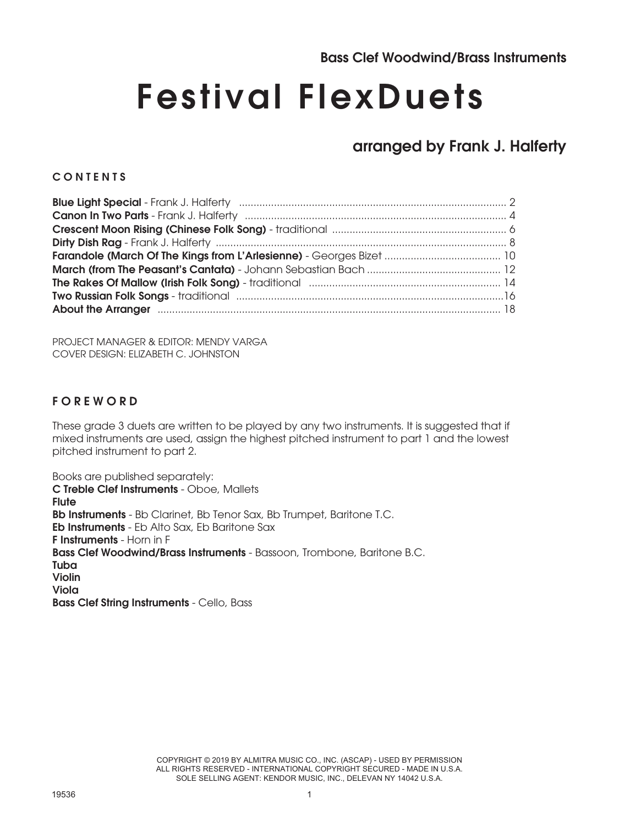# Festival FlexDuets

### arranged by Frank J. Halferty

#### **CONTENTS**

| The Rakes Of Mallow (Irish Folk Song) - traditional manufactured manufactured and 14                                                                                                                                                |  |
|-------------------------------------------------------------------------------------------------------------------------------------------------------------------------------------------------------------------------------------|--|
|                                                                                                                                                                                                                                     |  |
| About the Arranger <b>Election Construction Construction</b> and the Arrangement of the Arrangement of the state of the state of the state of the state of the state of the state of the state of the state of the state of the sta |  |

PROJECT MANAGER & EDITOR: MENDY VARGA COVER DESIGN: ELIZABETH C. JOHNSTON

#### F O R E W O R D

These grade 3 duets are written to be played by any two instruments. It is suggested that if mixed instruments are used, assign the highest pitched instrument to part 1 and the lowest pitched instrument to part 2.

Books are published separately: C Treble Clef Instruments - Oboe, Mallets **Flute** Bb Instruments - Bb Clarinet, Bb Tenor Sax, Bb Trumpet, Baritone T.C. Eb Instruments - Eb Alto Sax, Eb Baritone Sax F Instruments - Horn in F Bass Clef Woodwind/Brass Instruments - Bassoon, Trombone, Baritone B.C. Tuba Violin Viola Bass Clef String Instruments - Cello, Bass